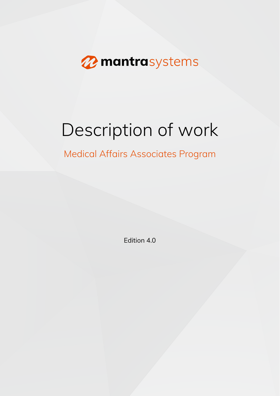

# Description of work

# Medical Affairs Associates Program

Edition 4.0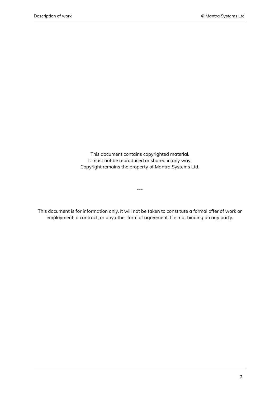This document contains copyrighted material. It must not be reproduced or shared in any way. Copyright remains the property of Mantra Systems Ltd.

This document is for information only. It will not be taken to constitute a formal offer of work or employment, a contract, or any other form of agreement. It is not binding on any party.

---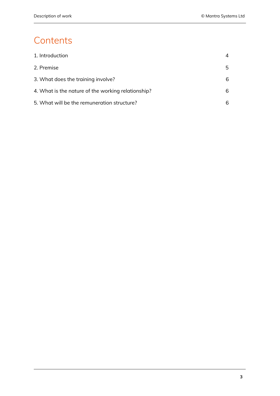## **Contents**

| 1. Introduction                                    | 4  |
|----------------------------------------------------|----|
| 2. Premise                                         | 5. |
| 3. What does the training involve?                 | 6  |
| 4. What is the nature of the working relationship? | 6  |
| 5. What will be the remuneration structure?        | 6  |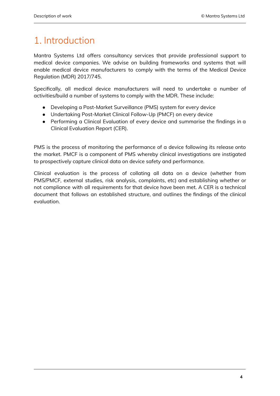## <span id="page-3-0"></span>1. Introduction

Mantra Systems Ltd offers consultancy services that provide professional support to medical device companies. We advise on building frameworks and systems that will enable medical device manufacturers to comply with the terms of the Medical Device Regulation (MDR) 2017/745.

Specifically, all medical device manufacturers will need to undertake a number of activities/build a number of systems to comply with the MDR. These include:

- Developing a Post-Market Surveillance (PMS) system for every device
- Undertaking Post-Market Clinical Follow-Up (PMCF) on every device
- Performing a Clinical Evaluation of every device and summarise the findings in a Clinical Evaluation Report (CER).

PMS is the process of monitoring the performance of a device following its release onto the market. PMCF is a component of PMS whereby clinical investigations are instigated to prospectively capture clinical data on device safety and performance.

Clinical evaluation is the process of collating all data on a device (whether from PMS/PMCF, external studies, risk analysis, complaints, etc) and establishing whether or not compliance with all requirements for that device have been met. A CER is a technical document that follows an established structure, and outlines the findings of the clinical evaluation.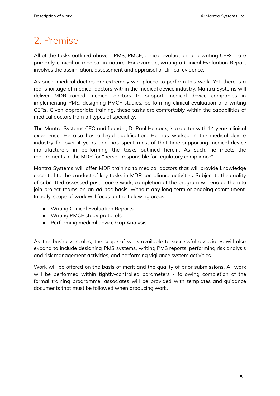### <span id="page-4-0"></span>2. Premise

All of the tasks outlined above – PMS, PMCF, clinical evaluation, and writing CERs – are primarily clinical or medical in nature. For example, writing a Clinical Evaluation Report involves the assimilation, assessment and appraisal of clinical evidence.

As such, medical doctors are extremely well placed to perform this work. Yet, there is a real shortage of medical doctors within the medical device industry. Mantra Systems will deliver MDR-trained medical doctors to support medical device companies in implementing PMS, designing PMCF studies, performing clinical evaluation and writing CERs. Given appropriate training, these tasks are comfortably within the capabilities of medical doctors from all types of speciality.

The Mantra Systems CEO and founder, Dr Paul Hercock, is a doctor with 14 years clinical experience. He also has a legal qualification. He has worked in the medical device industry for over 4 years and has spent most of that time supporting medical device manufacturers in performing the tasks outlined herein. As such, he meets the requirements in the MDR for "person responsible for regulatory compliance".

Mantra Systems will offer MDR training to medical doctors that will provide knowledge essential to the conduct of key tasks in MDR compliance activities. Subject to the quality of submitted assessed post-course work, completion of the program will enable them to join project teams on an *ad hoc* basis, without any long-term or ongoing commitment. Initially, scope of work will focus on the following areas:

- Writing Clinical Evaluation Reports
- Writing PMCF study protocols
- Performing medical device Gap Analysis

As the business scales, the scope of work available to successful associates will also expand to include designing PMS systems, writing PMS reports, performing risk analysis and risk management activities, and performing vigilance system activities.

Work will be offered on the basis of merit and the quality of prior submissions. All work will be performed within tightly-controlled parameters - following completion of the formal training programme, associates will be provided with templates and guidance documents that must be followed when producing work.